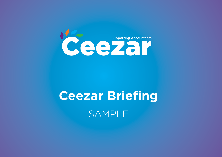

# **Ceezar Briefing** SAMPLE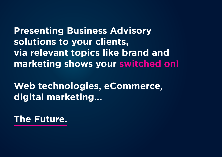**Presenting Business Advisory solutions to your clients, via relevant topics like brand and marketing shows your switched on!**

**Web technologies, eCommerce, digital marketing...** 

**The Future.**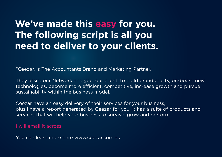### **We've made this easy for you. The following script is all you need to deliver to your clients.**

"Ceezar, is The Accountants Brand and Marketing Partner.

They assist our Network and you, our client, to build brand equity, on-board new technologies, become more efficient, competitive, increase growth and pursue sustainability within the business model.

Ceezar have an easy delivery of their services for your business, plus I have a report generated by Ceezar for you. It has a suite of products and services that will help your business to survive, grow and perform.

#### I will email it across.

You can learn more here www.ceezar.com.au".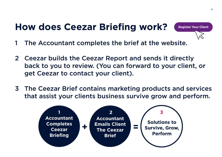### **How does Ceezar Briefing work?**



- 1 The Accountant completes the brief at the we[bsite.](https://www.ceezar.com.au/register-your-client/)
- 2 Ceezar builds the Ceezar Report and sends it directly back to you to review. (You can forward to your client, or get Ceezar to contact your client).
- 3 The Ceezar Brief contains marketing products and services that assist your clients business survive grow and perform.

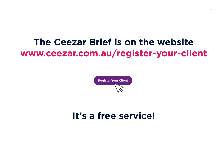### **The Ceezar Brief is on the website [www.ceezar.com.au/register-your-client](https://www.ceezar.com.au/register-your-client/)**



### **It's a free service!**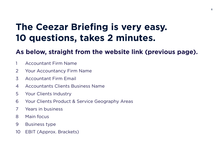### **The Ceezar Briefing is very easy. 10 questions, takes 2 minutes.**

### **As below, straight from the website link (previous page).**

- Accountant Firm Name
- Your Accountancy Firm Name
- Accountant Firm Email
- Accountants Clients Business Name
- Your Clients Industry
- Your Clients Product & Service Geography Areas
- Years in business
- Main focus
- Business type
- EBIT (Approx. Brackets)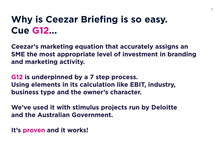### **Why is Ceezar Briefing is so easy. Cue G12...**

**Ceezar's marketing equation that accurately assigns an SME the most appropriate level of investment in branding and marketing activity.**

**G12 is underpinned by a 7 step process. Using elements in its calculation like EBIT, industry, business type and the owner's character.**

**We've used it with stimulus projects run by Deloitte and the Australian Government.**

**It's proven and it works!**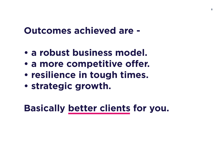### **Outcomes achieved are -**

- **a robust business model.**
- **a more competitive offer.**
- **resilience in tough times.**
- **strategic growth.**

**Basically better clients for you.**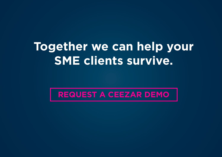## **Together we can help your SME clients survive.**

**[REQUEST A CEEZAR DEMO](mailto:Luke.Sullivan%40COGbranding.com?subject=I%20would%20like%20a%20G12%20Demo%20Please%20%28c/o%20COG%20Branding%29)**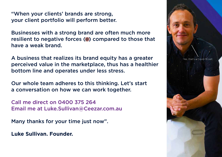"When your clients' brands are strong, your client portfolio will perform better.

Businesses with a strong brand are often much more resilient to negative forces (.) compared to those that have a weak brand.

A business that realizes its brand equity has a greater perceived value in the marketplace, thus has a healthier bottom line and operates under less stress.

Our whole team adheres to this thinking. Let's start a conversation on how we can work together.

Call me direct on 0400 375 264 Email me at [Luke.Sullivan@Ceezar.com.](mailto:Luke.Sullivan%40COGbranding.com?subject=I%20would%20like%20a%20G12%20Demo%20Please%20%28c/o%20COG%20Branding%29)au

Many thanks for your time just now".

**Luke Sullivan. Founder.**

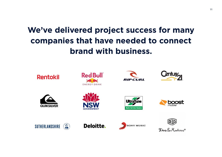### **We've delivered project success for many companies that have needed to connect brand with business.**

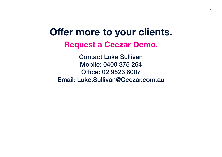## **Offer more to your clients. Request a Ceezar Demo.**

Contact Luke Sullivan Mobile: 0400 375 264 Office: 02 9523 6007 Email: [Luke.Sullivan@Ceezar.com](mailto:Luke.Sullivan%40COGbranding.com?subject=I%20would%20like%20a%20G12%20Demo%20Please%20%28c/o%20COG%20Branding%29).au